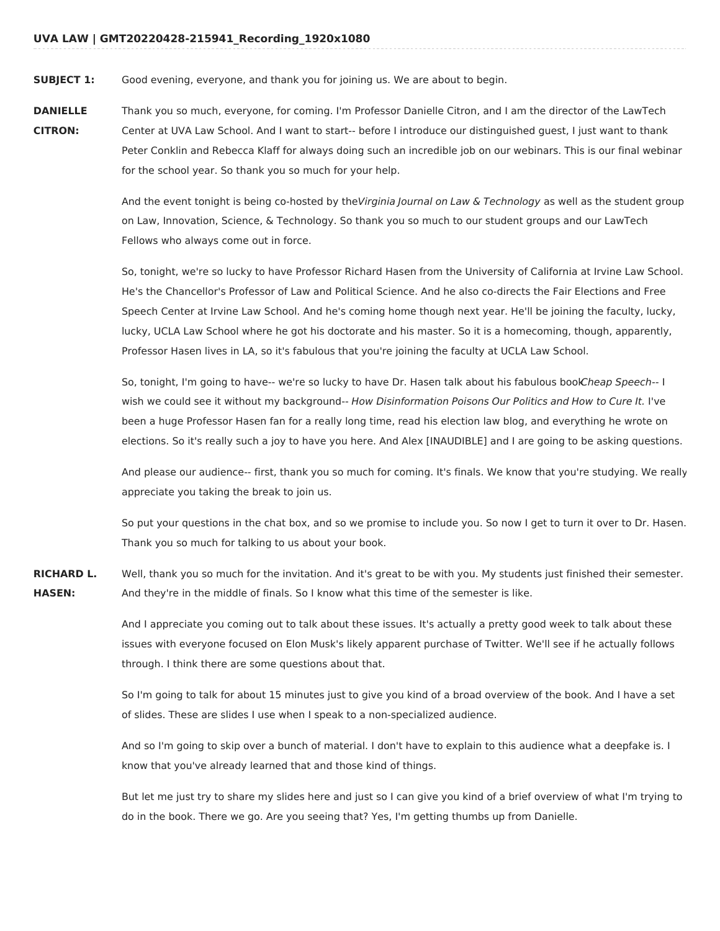**SUBJECT 1:** Good evening, everyone, and thank you for joining us. We are about to begin.

**DANIELLE CITRON:** Thank you so much, everyone, for coming. I'm Professor Danielle Citron, and I am the director of the LawTech Center at UVA Law School. And I want to start-- before I introduce our distinguished guest, I just want to thank Peter Conklin and Rebecca Klaff for always doing such an incredible job on our webinars. This is our final webinar for the school year. So thank you so much for your help.

> And the event tonight is being co-hosted by theVirginia Journal on Law & Technology as well as the student group on Law, Innovation, Science, & Technology. So thank you so much to our student groups and our LawTech Fellows who always come out in force.

> So, tonight, we're so lucky to have Professor Richard Hasen from the University of California at Irvine Law School. He's the Chancellor's Professor of Law and Political Science. And he also co-directs the Fair Elections and Free Speech Center at Irvine Law School. And he's coming home though next year. He'll be joining the faculty, lucky, lucky, UCLA Law School where he got his doctorate and his master. So it is a homecoming, though, apparently, Professor Hasen lives in LA, so it's fabulous that you're joining the faculty at UCLA Law School.

> So, tonight, I'm going to have-- we're so lucky to have Dr. Hasen talk about his fabulous boolCheap Speech-- I wish we could see it without my background-- How Disinformation Poisons Our Politics and How to Cure It. I've been a huge Professor Hasen fan for a really long time, read his election law blog, and everything he wrote on elections. So it's really such a joy to have you here. And Alex [INAUDIBLE] and I are going to be asking questions.

> And please our audience-- first, thank you so much for coming. It's finals. We know that you're studying. We really appreciate you taking the break to join us.

> So put your questions in the chat box, and so we promise to include you. So now I get to turn it over to Dr. Hasen. Thank you so much for talking to us about your book.

**RICHARD L. HASEN:** Well, thank you so much for the invitation. And it's great to be with you. My students just finished their semester. And they're in the middle of finals. So I know what this time of the semester is like.

> And I appreciate you coming out to talk about these issues. It's actually a pretty good week to talk about these issues with everyone focused on Elon Musk's likely apparent purchase of Twitter. We'll see if he actually follows through. I think there are some questions about that.

> So I'm going to talk for about 15 minutes just to give you kind of a broad overview of the book. And I have a set of slides. These are slides I use when I speak to a non-specialized audience.

> And so I'm going to skip over a bunch of material. I don't have to explain to this audience what a deepfake is. I know that you've already learned that and those kind of things.

But let me just try to share my slides here and just so I can give you kind of a brief overview of what I'm trying to do in the book. There we go. Are you seeing that? Yes, I'm getting thumbs up from Danielle.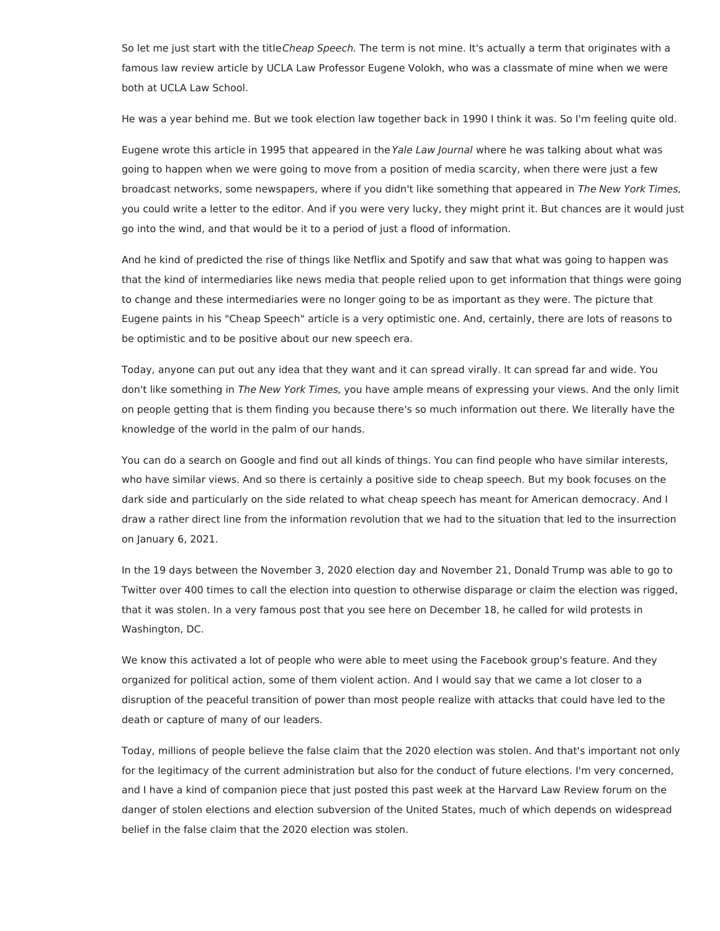So let me just start with the title Cheap Speech. The term is not mine. It's actually a term that originates with a famous law review article by UCLA Law Professor Eugene Volokh, who was a classmate of mine when we were both at UCLA Law School.

He was a year behind me. But we took election law together back in 1990 I think it was. So I'm feeling quite old.

Eugene wrote this article in 1995 that appeared in the Yale Law Journal where he was talking about what was going to happen when we were going to move from a position of media scarcity, when there were just a few broadcast networks, some newspapers, where if you didn't like something that appeared in The New York Times, you could write a letter to the editor. And if you were very lucky, they might print it. But chances are it would just go into the wind, and that would be it to a period of just a flood of information.

And he kind of predicted the rise of things like Netflix and Spotify and saw that what was going to happen was that the kind of intermediaries like news media that people relied upon to get information that things were going to change and these intermediaries were no longer going to be as important as they were. The picture that Eugene paints in his "Cheap Speech" article is a very optimistic one. And, certainly, there are lots of reasons to be optimistic and to be positive about our new speech era.

Today, anyone can put out any idea that they want and it can spread virally. It can spread far and wide. You don't like something in The New York Times, you have ample means of expressing your views. And the only limit on people getting that is them finding you because there's so much information out there. We literally have the knowledge of the world in the palm of our hands.

You can do a search on Google and find out all kinds of things. You can find people who have similar interests, who have similar views. And so there is certainly a positive side to cheap speech. But my book focuses on the dark side and particularly on the side related to what cheap speech has meant for American democracy. And I draw a rather direct line from the information revolution that we had to the situation that led to the insurrection on January 6, 2021.

In the 19 days between the November 3, 2020 election day and November 21, Donald Trump was able to go to Twitter over 400 times to call the election into question to otherwise disparage or claim the election was rigged, that it was stolen. In a very famous post that you see here on December 18, he called for wild protests in Washington, DC.

We know this activated a lot of people who were able to meet using the Facebook group's feature. And they organized for political action, some of them violent action. And I would say that we came a lot closer to a disruption of the peaceful transition of power than most people realize with attacks that could have led to the death or capture of many of our leaders.

Today, millions of people believe the false claim that the 2020 election was stolen. And that's important not only for the legitimacy of the current administration but also for the conduct of future elections. I'm very concerned, and I have a kind of companion piece that just posted this past week at the Harvard Law Review forum on the danger of stolen elections and election subversion of the United States, much of which depends on widespread belief in the false claim that the 2020 election was stolen.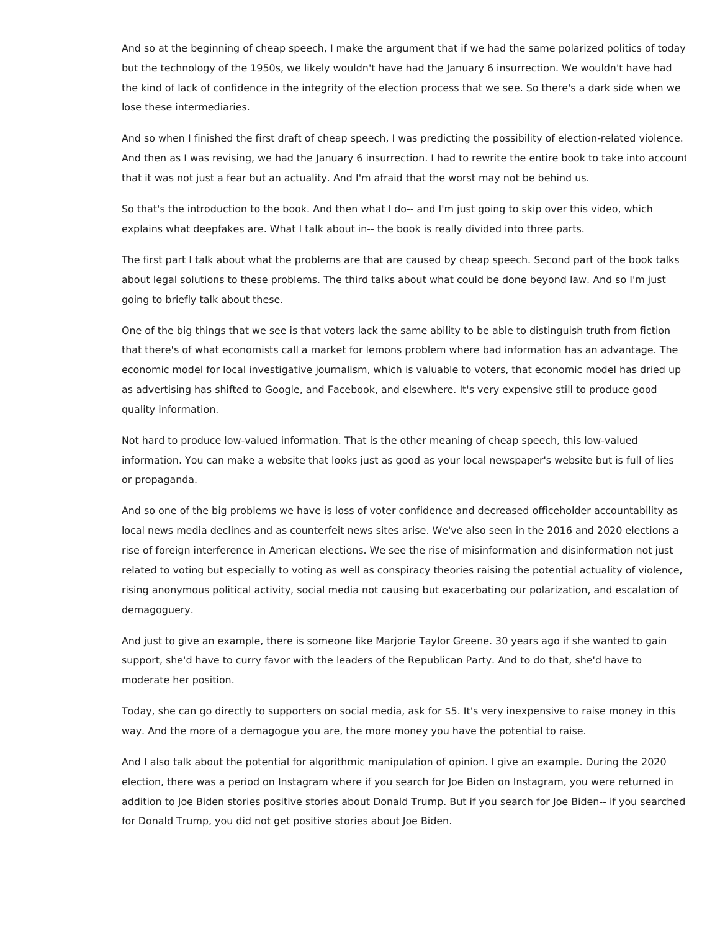And so at the beginning of cheap speech, I make the argument that if we had the same polarized politics of today but the technology of the 1950s, we likely wouldn't have had the January 6 insurrection. We wouldn't have had the kind of lack of confidence in the integrity of the election process that we see. So there's a dark side when we lose these intermediaries.

And so when I finished the first draft of cheap speech, I was predicting the possibility of election-related violence. And then as I was revising, we had the January 6 insurrection. I had to rewrite the entire book to take into account that it was not just a fear but an actuality. And I'm afraid that the worst may not be behind us.

So that's the introduction to the book. And then what I do-- and I'm just going to skip over this video, which explains what deepfakes are. What I talk about in-- the book is really divided into three parts.

The first part I talk about what the problems are that are caused by cheap speech. Second part of the book talks about legal solutions to these problems. The third talks about what could be done beyond law. And so I'm just going to briefly talk about these.

One of the big things that we see is that voters lack the same ability to be able to distinguish truth from fiction that there's of what economists call a market for lemons problem where bad information has an advantage. The economic model for local investigative journalism, which is valuable to voters, that economic model has dried up as advertising has shifted to Google, and Facebook, and elsewhere. It's very expensive still to produce good quality information.

Not hard to produce low-valued information. That is the other meaning of cheap speech, this low-valued information. You can make a website that looks just as good as your local newspaper's website but is full of lies or propaganda.

And so one of the big problems we have is loss of voter confidence and decreased officeholder accountability as local news media declines and as counterfeit news sites arise. We've also seen in the 2016 and 2020 elections a rise of foreign interference in American elections. We see the rise of misinformation and disinformation not just related to voting but especially to voting as well as conspiracy theories raising the potential actuality of violence, rising anonymous political activity, social media not causing but exacerbating our polarization, and escalation of demagoguery.

And just to give an example, there is someone like Marjorie Taylor Greene. 30 years ago if she wanted to gain support, she'd have to curry favor with the leaders of the Republican Party. And to do that, she'd have to moderate her position.

Today, she can go directly to supporters on social media, ask for \$5. It's very inexpensive to raise money in this way. And the more of a demagogue you are, the more money you have the potential to raise.

And I also talk about the potential for algorithmic manipulation of opinion. I give an example. During the 2020 election, there was a period on Instagram where if you search for Joe Biden on Instagram, you were returned in addition to Joe Biden stories positive stories about Donald Trump. But if you search for Joe Biden-- if you searched for Donald Trump, you did not get positive stories about Joe Biden.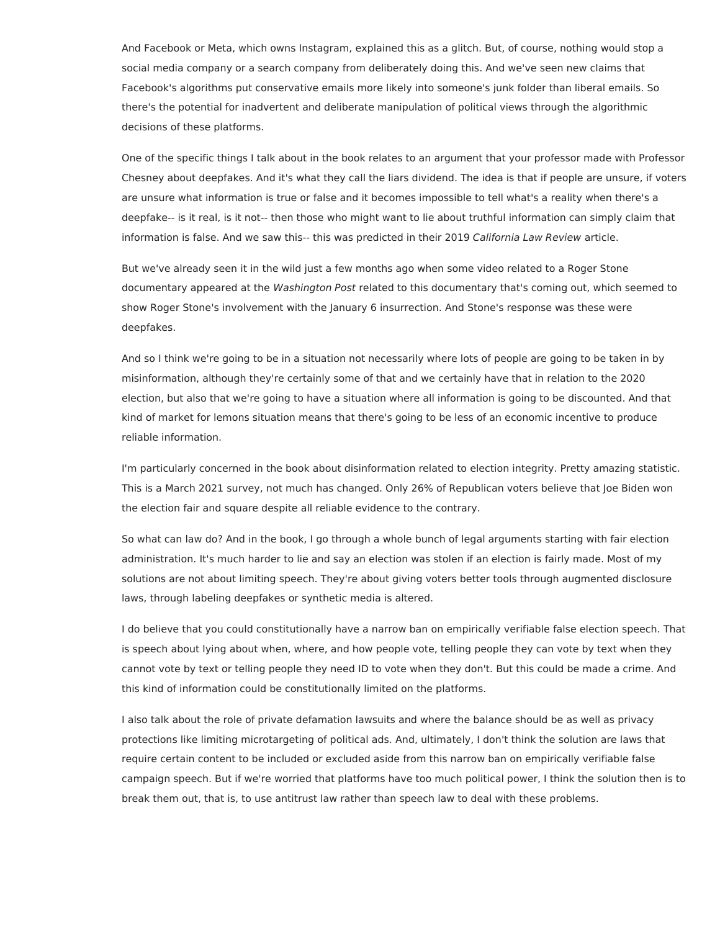And Facebook or Meta, which owns Instagram, explained this as a glitch. But, of course, nothing would stop a social media company or a search company from deliberately doing this. And we've seen new claims that Facebook's algorithms put conservative emails more likely into someone's junk folder than liberal emails. So there's the potential for inadvertent and deliberate manipulation of political views through the algorithmic decisions of these platforms.

One of the specific things I talk about in the book relates to an argument that your professor made with Professor Chesney about deepfakes. And it's what they call the liars dividend. The idea is that if people are unsure, if voters are unsure what information is true or false and it becomes impossible to tell what's a reality when there's a deepfake-- is it real, is it not-- then those who might want to lie about truthful information can simply claim that information is false. And we saw this-- this was predicted in their 2019 California Law Review article.

But we've already seen it in the wild just a few months ago when some video related to a Roger Stone documentary appeared at the Washington Post related to this documentary that's coming out, which seemed to show Roger Stone's involvement with the January 6 insurrection. And Stone's response was these were deepfakes.

And so I think we're going to be in a situation not necessarily where lots of people are going to be taken in by misinformation, although they're certainly some of that and we certainly have that in relation to the 2020 election, but also that we're going to have a situation where all information is going to be discounted. And that kind of market for lemons situation means that there's going to be less of an economic incentive to produce reliable information.

I'm particularly concerned in the book about disinformation related to election integrity. Pretty amazing statistic. This is a March 2021 survey, not much has changed. Only 26% of Republican voters believe that Joe Biden won the election fair and square despite all reliable evidence to the contrary.

So what can law do? And in the book, I go through a whole bunch of legal arguments starting with fair election administration. It's much harder to lie and say an election was stolen if an election is fairly made. Most of my solutions are not about limiting speech. They're about giving voters better tools through augmented disclosure laws, through labeling deepfakes or synthetic media is altered.

I do believe that you could constitutionally have a narrow ban on empirically verifiable false election speech. That is speech about lying about when, where, and how people vote, telling people they can vote by text when they cannot vote by text or telling people they need ID to vote when they don't. But this could be made a crime. And this kind of information could be constitutionally limited on the platforms.

I also talk about the role of private defamation lawsuits and where the balance should be as well as privacy protections like limiting microtargeting of political ads. And, ultimately, I don't think the solution are laws that require certain content to be included or excluded aside from this narrow ban on empirically verifiable false campaign speech. But if we're worried that platforms have too much political power, I think the solution then is to break them out, that is, to use antitrust law rather than speech law to deal with these problems.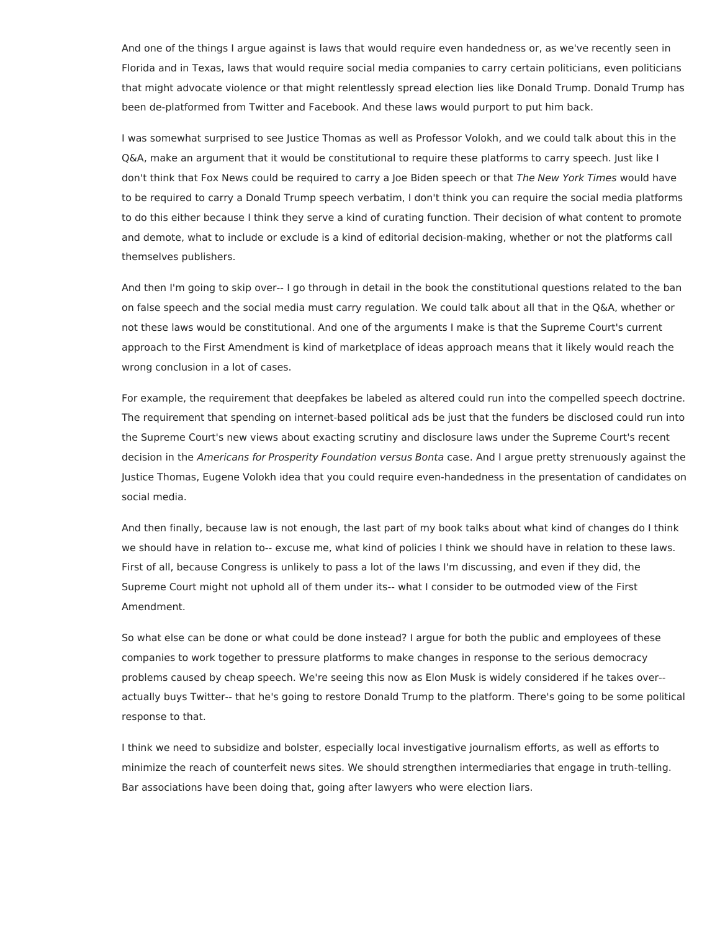And one of the things I argue against is laws that would require even handedness or, as we've recently seen in Florida and in Texas, laws that would require social media companies to carry certain politicians, even politicians that might advocate violence or that might relentlessly spread election lies like Donald Trump. Donald Trump has been de-platformed from Twitter and Facebook. And these laws would purport to put him back.

I was somewhat surprised to see Justice Thomas as well as Professor Volokh, and we could talk about this in the Q&A, make an argument that it would be constitutional to require these platforms to carry speech. Just like I don't think that Fox News could be required to carry a Joe Biden speech or that The New York Times would have to be required to carry a Donald Trump speech verbatim, I don't think you can require the social media platforms to do this either because I think they serve a kind of curating function. Their decision of what content to promote and demote, what to include or exclude is a kind of editorial decision-making, whether or not the platforms call themselves publishers.

And then I'm going to skip over-- I go through in detail in the book the constitutional questions related to the ban on false speech and the social media must carry regulation. We could talk about all that in the Q&A, whether or not these laws would be constitutional. And one of the arguments I make is that the Supreme Court's current approach to the First Amendment is kind of marketplace of ideas approach means that it likely would reach the wrong conclusion in a lot of cases.

For example, the requirement that deepfakes be labeled as altered could run into the compelled speech doctrine. The requirement that spending on internet-based political ads be just that the funders be disclosed could run into the Supreme Court's new views about exacting scrutiny and disclosure laws under the Supreme Court's recent decision in the Americans for Prosperity Foundation versus Bonta case. And I argue pretty strenuously against the Justice Thomas, Eugene Volokh idea that you could require even-handedness in the presentation of candidates on social media.

And then finally, because law is not enough, the last part of my book talks about what kind of changes do I think we should have in relation to-- excuse me, what kind of policies I think we should have in relation to these laws. First of all, because Congress is unlikely to pass a lot of the laws I'm discussing, and even if they did, the Supreme Court might not uphold all of them under its-- what I consider to be outmoded view of the First Amendment.

So what else can be done or what could be done instead? I argue for both the public and employees of these companies to work together to pressure platforms to make changes in response to the serious democracy problems caused by cheap speech. We're seeing this now as Elon Musk is widely considered if he takes over- actually buys Twitter-- that he's going to restore Donald Trump to the platform. There's going to be some political response to that.

I think we need to subsidize and bolster, especially local investigative journalism efforts, as well as efforts to minimize the reach of counterfeit news sites. We should strengthen intermediaries that engage in truth-telling. Bar associations have been doing that, going after lawyers who were election liars.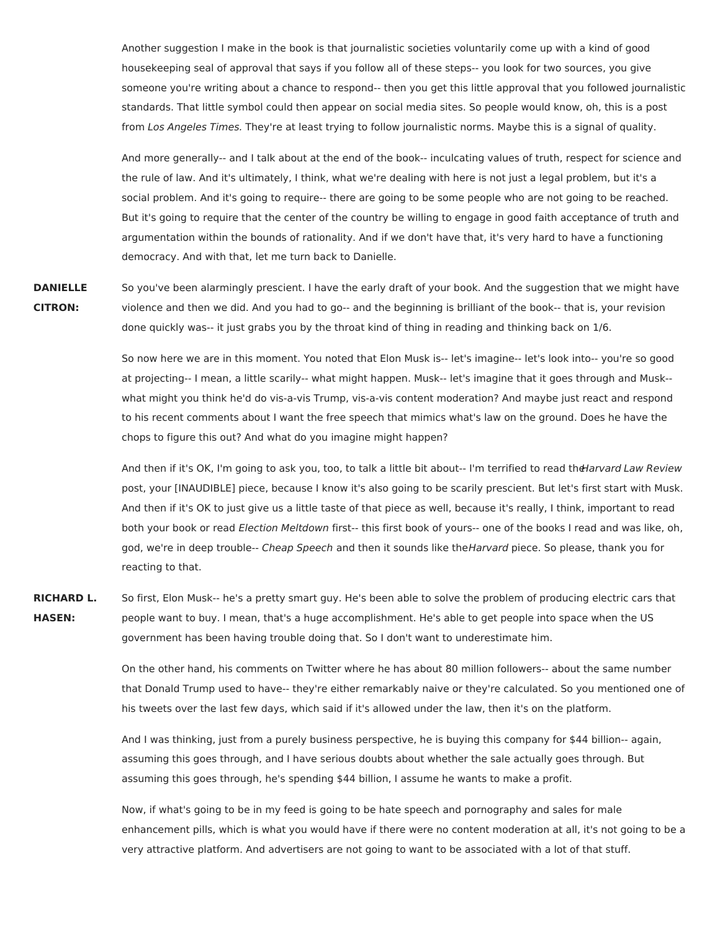Another suggestion I make in the book is that journalistic societies voluntarily come up with a kind of good housekeeping seal of approval that says if you follow all of these steps-- you look for two sources, you give someone you're writing about a chance to respond-- then you get this little approval that you followed journalistic standards. That little symbol could then appear on social media sites. So people would know, oh, this is a post from Los Angeles Times. They're at least trying to follow journalistic norms. Maybe this is a signal of quality.

And more generally-- and I talk about at the end of the book-- inculcating values of truth, respect for science and the rule of law. And it's ultimately, I think, what we're dealing with here is not just a legal problem, but it's a social problem. And it's going to require-- there are going to be some people who are not going to be reached. But it's going to require that the center of the country be willing to engage in good faith acceptance of truth and argumentation within the bounds of rationality. And if we don't have that, it's very hard to have a functioning democracy. And with that, let me turn back to Danielle.

**DANIELLE CITRON:** So you've been alarmingly prescient. I have the early draft of your book. And the suggestion that we might have violence and then we did. And you had to go-- and the beginning is brilliant of the book-- that is, your revision done quickly was-- it just grabs you by the throat kind of thing in reading and thinking back on 1/6.

> So now here we are in this moment. You noted that Elon Musk is-- let's imagine-- let's look into-- you're so good at projecting-- I mean, a little scarily-- what might happen. Musk-- let's imagine that it goes through and Musk- what might you think he'd do vis-a-vis Trump, vis-a-vis content moderation? And maybe just react and respond to his recent comments about I want the free speech that mimics what's law on the ground. Does he have the chops to figure this out? And what do you imagine might happen?

And then if it's OK, I'm going to ask you, too, to talk a little bit about-- I'm terrified to read theHarvard Law Review post, your [INAUDIBLE] piece, because I know it's also going to be scarily prescient. But let's first start with Musk. And then if it's OK to just give us a little taste of that piece as well, because it's really, I think, important to read both your book or read Election Meltdown first-- this first book of yours-- one of the books I read and was like, oh, god, we're in deep trouble-- Cheap Speech and then it sounds like theHarvard piece. So please, thank you for reacting to that.

**RICHARD L. HASEN:** So first, Elon Musk-- he's a pretty smart guy. He's been able to solve the problem of producing electric cars that people want to buy. I mean, that's a huge accomplishment. He's able to get people into space when the US government has been having trouble doing that. So I don't want to underestimate him.

> On the other hand, his comments on Twitter where he has about 80 million followers-- about the same number that Donald Trump used to have-- they're either remarkably naive or they're calculated. So you mentioned one of his tweets over the last few days, which said if it's allowed under the law, then it's on the platform.

And I was thinking, just from a purely business perspective, he is buying this company for \$44 billion-- again, assuming this goes through, and I have serious doubts about whether the sale actually goes through. But assuming this goes through, he's spending \$44 billion, I assume he wants to make a profit.

Now, if what's going to be in my feed is going to be hate speech and pornography and sales for male enhancement pills, which is what you would have if there were no content moderation at all, it's not going to be a very attractive platform. And advertisers are not going to want to be associated with a lot of that stuff.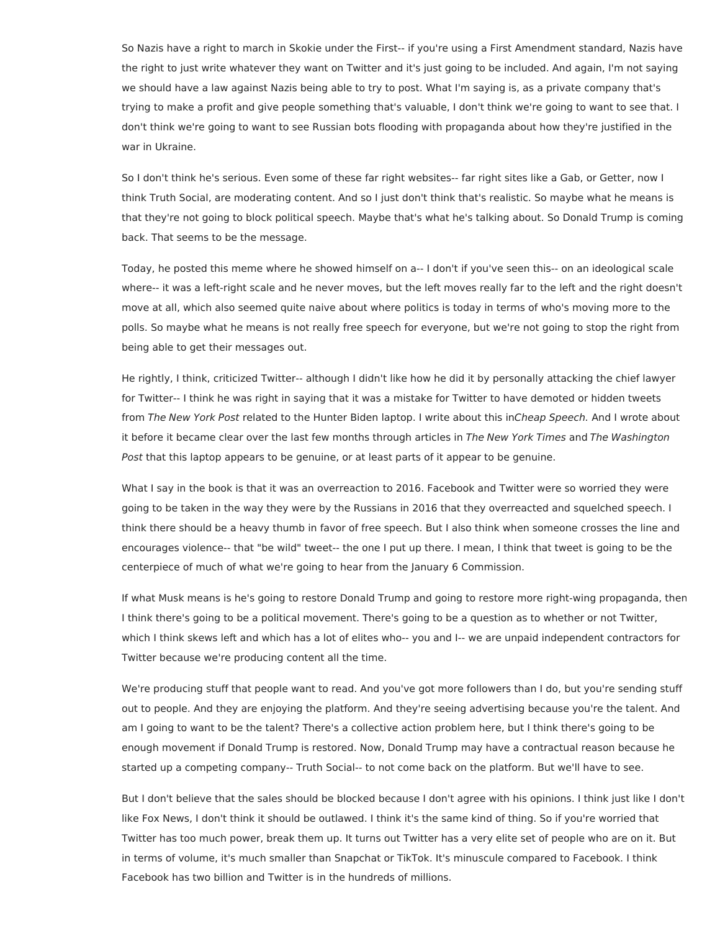So Nazis have a right to march in Skokie under the First-- if you're using a First Amendment standard, Nazis have the right to just write whatever they want on Twitter and it's just going to be included. And again, I'm not saying we should have a law against Nazis being able to try to post. What I'm saying is, as a private company that's trying to make a profit and give people something that's valuable, I don't think we're going to want to see that. I don't think we're going to want to see Russian bots flooding with propaganda about how they're justified in the war in Ukraine.

So I don't think he's serious. Even some of these far right websites-- far right sites like a Gab, or Getter, now I think Truth Social, are moderating content. And so I just don't think that's realistic. So maybe what he means is that they're not going to block political speech. Maybe that's what he's talking about. So Donald Trump is coming back. That seems to be the message.

Today, he posted this meme where he showed himself on a-- I don't if you've seen this-- on an ideological scale where-- it was a left-right scale and he never moves, but the left moves really far to the left and the right doesn't move at all, which also seemed quite naive about where politics is today in terms of who's moving more to the polls. So maybe what he means is not really free speech for everyone, but we're not going to stop the right from being able to get their messages out.

He rightly, I think, criticized Twitter-- although I didn't like how he did it by personally attacking the chief lawyer for Twitter-- I think he was right in saying that it was a mistake for Twitter to have demoted or hidden tweets from The New York Post related to the Hunter Biden laptop. I write about this inCheap Speech. And I wrote about it before it became clear over the last few months through articles in The New York Times and The Washington Post that this laptop appears to be genuine, or at least parts of it appear to be genuine.

What I say in the book is that it was an overreaction to 2016. Facebook and Twitter were so worried they were going to be taken in the way they were by the Russians in 2016 that they overreacted and squelched speech. I think there should be a heavy thumb in favor of free speech. But I also think when someone crosses the line and encourages violence-- that "be wild" tweet-- the one I put up there. I mean, I think that tweet is going to be the centerpiece of much of what we're going to hear from the January 6 Commission.

If what Musk means is he's going to restore Donald Trump and going to restore more right-wing propaganda, then I think there's going to be a political movement. There's going to be a question as to whether or not Twitter, which I think skews left and which has a lot of elites who-- you and I-- we are unpaid independent contractors for Twitter because we're producing content all the time.

We're producing stuff that people want to read. And you've got more followers than I do, but you're sending stuff out to people. And they are enjoying the platform. And they're seeing advertising because you're the talent. And am I going to want to be the talent? There's a collective action problem here, but I think there's going to be enough movement if Donald Trump is restored. Now, Donald Trump may have a contractual reason because he started up a competing company-- Truth Social-- to not come back on the platform. But we'll have to see.

But I don't believe that the sales should be blocked because I don't agree with his opinions. I think just like I don't like Fox News, I don't think it should be outlawed. I think it's the same kind of thing. So if you're worried that Twitter has too much power, break them up. It turns out Twitter has a very elite set of people who are on it. But in terms of volume, it's much smaller than Snapchat or TikTok. It's minuscule compared to Facebook. I think Facebook has two billion and Twitter is in the hundreds of millions.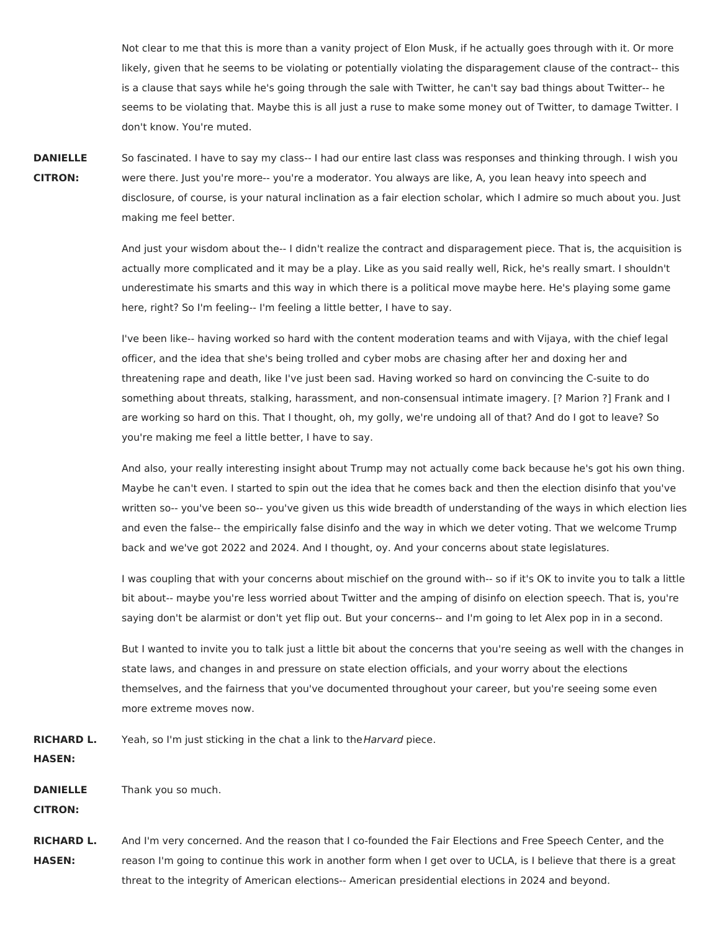Not clear to me that this is more than a vanity project of Elon Musk, if he actually goes through with it. Or more likely, given that he seems to be violating or potentially violating the disparagement clause of the contract-- this is a clause that says while he's going through the sale with Twitter, he can't say bad things about Twitter-- he seems to be violating that. Maybe this is all just a ruse to make some money out of Twitter, to damage Twitter. I don't know. You're muted.

## **DANIELLE CITRON:** So fascinated. I have to say my class-- I had our entire last class was responses and thinking through. I wish you were there. Just you're more-- you're a moderator. You always are like, A, you lean heavy into speech and disclosure, of course, is your natural inclination as a fair election scholar, which I admire so much about you. Just making me feel better.

And just your wisdom about the-- I didn't realize the contract and disparagement piece. That is, the acquisition is actually more complicated and it may be a play. Like as you said really well, Rick, he's really smart. I shouldn't underestimate his smarts and this way in which there is a political move maybe here. He's playing some game here, right? So I'm feeling-- I'm feeling a little better, I have to say.

I've been like-- having worked so hard with the content moderation teams and with Vijaya, with the chief legal officer, and the idea that she's being trolled and cyber mobs are chasing after her and doxing her and threatening rape and death, like I've just been sad. Having worked so hard on convincing the C-suite to do something about threats, stalking, harassment, and non-consensual intimate imagery. [? Marion ?] Frank and I are working so hard on this. That I thought, oh, my golly, we're undoing all of that? And do I got to leave? So you're making me feel a little better, I have to say.

And also, your really interesting insight about Trump may not actually come back because he's got his own thing. Maybe he can't even. I started to spin out the idea that he comes back and then the election disinfo that you've written so-- you've been so-- you've given us this wide breadth of understanding of the ways in which election lies and even the false-- the empirically false disinfo and the way in which we deter voting. That we welcome Trump back and we've got 2022 and 2024. And I thought, oy. And your concerns about state legislatures.

I was coupling that with your concerns about mischief on the ground with-- so if it's OK to invite you to talk a little bit about-- maybe you're less worried about Twitter and the amping of disinfo on election speech. That is, you're saying don't be alarmist or don't yet flip out. But your concerns-- and I'm going to let Alex pop in in a second.

But I wanted to invite you to talk just a little bit about the concerns that you're seeing as well with the changes in state laws, and changes in and pressure on state election officials, and your worry about the elections themselves, and the fairness that you've documented throughout your career, but you're seeing some even more extreme moves now.

**RICHARD L.** Yeah, so I'm just sticking in the chat a link to the Harvard piece.

**HASEN:**

**DANIELLE** Thank you so much.

**CITRON:**

**RICHARD L. HASEN:** And I'm very concerned. And the reason that I co-founded the Fair Elections and Free Speech Center, and the reason I'm going to continue this work in another form when I get over to UCLA, is I believe that there is a great threat to the integrity of American elections-- American presidential elections in 2024 and beyond.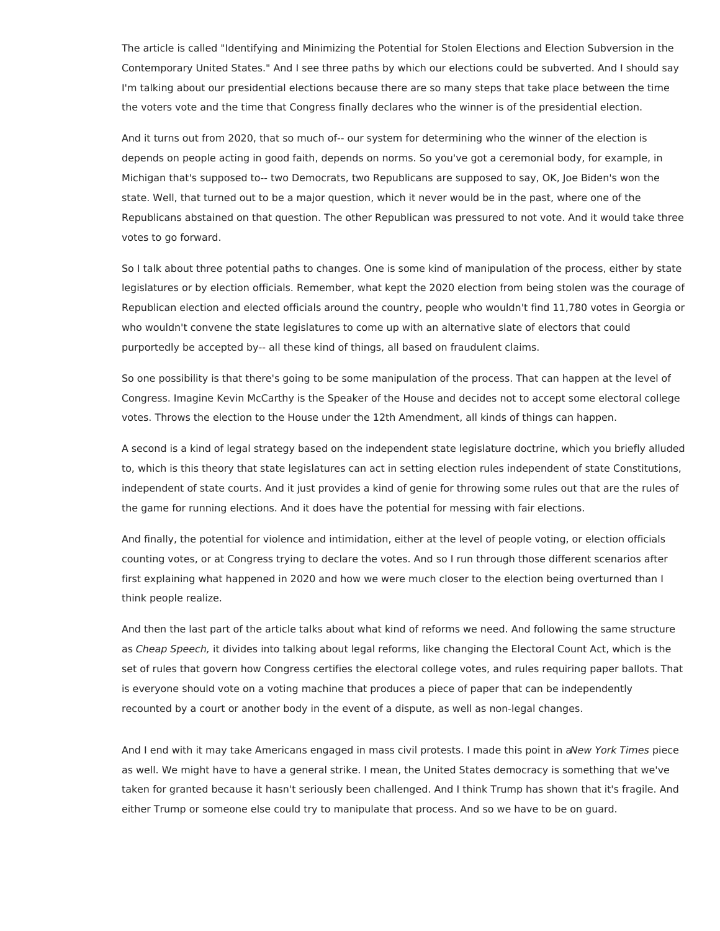The article is called "Identifying and Minimizing the Potential for Stolen Elections and Election Subversion in the Contemporary United States." And I see three paths by which our elections could be subverted. And I should say I'm talking about our presidential elections because there are so many steps that take place between the time the voters vote and the time that Congress finally declares who the winner is of the presidential election.

And it turns out from 2020, that so much of-- our system for determining who the winner of the election is depends on people acting in good faith, depends on norms. So you've got a ceremonial body, for example, in Michigan that's supposed to-- two Democrats, two Republicans are supposed to say, OK, Joe Biden's won the state. Well, that turned out to be a major question, which it never would be in the past, where one of the Republicans abstained on that question. The other Republican was pressured to not vote. And it would take three votes to go forward.

So I talk about three potential paths to changes. One is some kind of manipulation of the process, either by state legislatures or by election officials. Remember, what kept the 2020 election from being stolen was the courage of Republican election and elected officials around the country, people who wouldn't find 11,780 votes in Georgia or who wouldn't convene the state legislatures to come up with an alternative slate of electors that could purportedly be accepted by-- all these kind of things, all based on fraudulent claims.

So one possibility is that there's going to be some manipulation of the process. That can happen at the level of Congress. Imagine Kevin McCarthy is the Speaker of the House and decides not to accept some electoral college votes. Throws the election to the House under the 12th Amendment, all kinds of things can happen.

A second is a kind of legal strategy based on the independent state legislature doctrine, which you briefly alluded to, which is this theory that state legislatures can act in setting election rules independent of state Constitutions, independent of state courts. And it just provides a kind of genie for throwing some rules out that are the rules of the game for running elections. And it does have the potential for messing with fair elections.

And finally, the potential for violence and intimidation, either at the level of people voting, or election officials counting votes, or at Congress trying to declare the votes. And so I run through those different scenarios after first explaining what happened in 2020 and how we were much closer to the election being overturned than I think people realize.

And then the last part of the article talks about what kind of reforms we need. And following the same structure as Cheap Speech, it divides into talking about legal reforms, like changing the Electoral Count Act, which is the set of rules that govern how Congress certifies the electoral college votes, and rules requiring paper ballots. That is everyone should vote on a voting machine that produces a piece of paper that can be independently recounted by a court or another body in the event of a dispute, as well as non-legal changes.

And I end with it may take Americans engaged in mass civil protests. I made this point in aNew York Times piece as well. We might have to have a general strike. I mean, the United States democracy is something that we've taken for granted because it hasn't seriously been challenged. And I think Trump has shown that it's fragile. And either Trump or someone else could try to manipulate that process. And so we have to be on guard.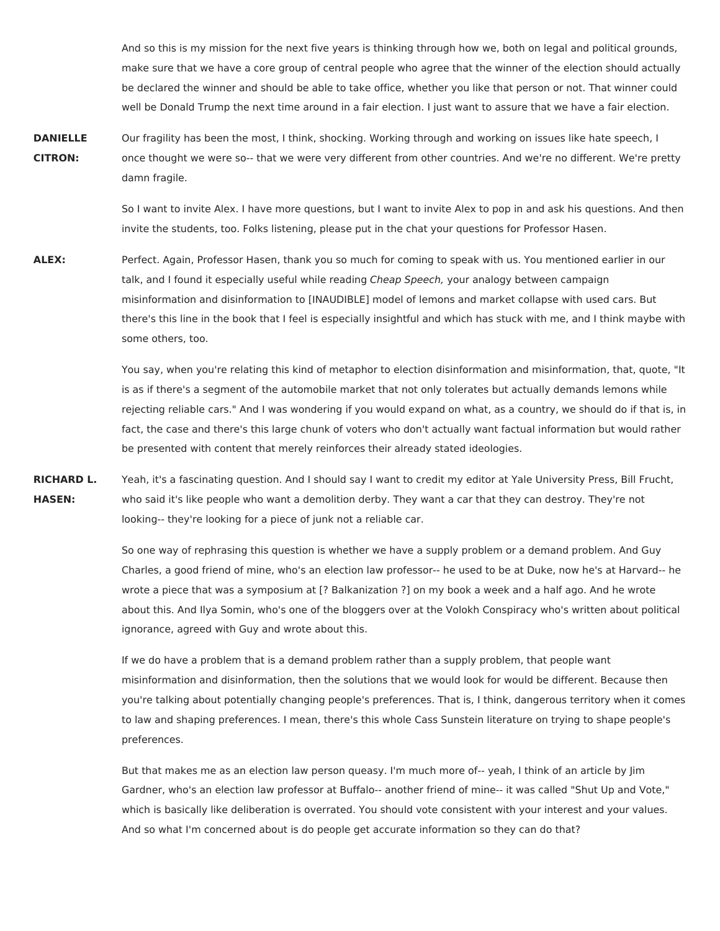And so this is my mission for the next five years is thinking through how we, both on legal and political grounds, make sure that we have a core group of central people who agree that the winner of the election should actually be declared the winner and should be able to take office, whether you like that person or not. That winner could well be Donald Trump the next time around in a fair election. I just want to assure that we have a fair election.

**DANIELLE CITRON:** Our fragility has been the most, I think, shocking. Working through and working on issues like hate speech, I once thought we were so-- that we were very different from other countries. And we're no different. We're pretty damn fragile.

> So I want to invite Alex. I have more questions, but I want to invite Alex to pop in and ask his questions. And then invite the students, too. Folks listening, please put in the chat your questions for Professor Hasen.

**ALEX:** Perfect. Again, Professor Hasen, thank you so much for coming to speak with us. You mentioned earlier in our talk, and I found it especially useful while reading Cheap Speech, your analogy between campaign misinformation and disinformation to [INAUDIBLE] model of lemons and market collapse with used cars. But there's this line in the book that I feel is especially insightful and which has stuck with me, and I think maybe with some others, too.

> You say, when you're relating this kind of metaphor to election disinformation and misinformation, that, quote, "It is as if there's a segment of the automobile market that not only tolerates but actually demands lemons while rejecting reliable cars." And I was wondering if you would expand on what, as a country, we should do if that is, in fact, the case and there's this large chunk of voters who don't actually want factual information but would rather be presented with content that merely reinforces their already stated ideologies.

**RICHARD L. HASEN:** Yeah, it's a fascinating question. And I should say I want to credit my editor at Yale University Press, Bill Frucht, who said it's like people who want a demolition derby. They want a car that they can destroy. They're not looking-- they're looking for a piece of junk not a reliable car.

> So one way of rephrasing this question is whether we have a supply problem or a demand problem. And Guy Charles, a good friend of mine, who's an election law professor-- he used to be at Duke, now he's at Harvard-- he wrote a piece that was a symposium at [? Balkanization ?] on my book a week and a half ago. And he wrote about this. And Ilya Somin, who's one of the bloggers over at the Volokh Conspiracy who's written about political ignorance, agreed with Guy and wrote about this.

> If we do have a problem that is a demand problem rather than a supply problem, that people want misinformation and disinformation, then the solutions that we would look for would be different. Because then you're talking about potentially changing people's preferences. That is, I think, dangerous territory when it comes to law and shaping preferences. I mean, there's this whole Cass Sunstein literature on trying to shape people's preferences.

But that makes me as an election law person queasy. I'm much more of-- yeah, I think of an article by Jim Gardner, who's an election law professor at Buffalo-- another friend of mine-- it was called "Shut Up and Vote," which is basically like deliberation is overrated. You should vote consistent with your interest and your values. And so what I'm concerned about is do people get accurate information so they can do that?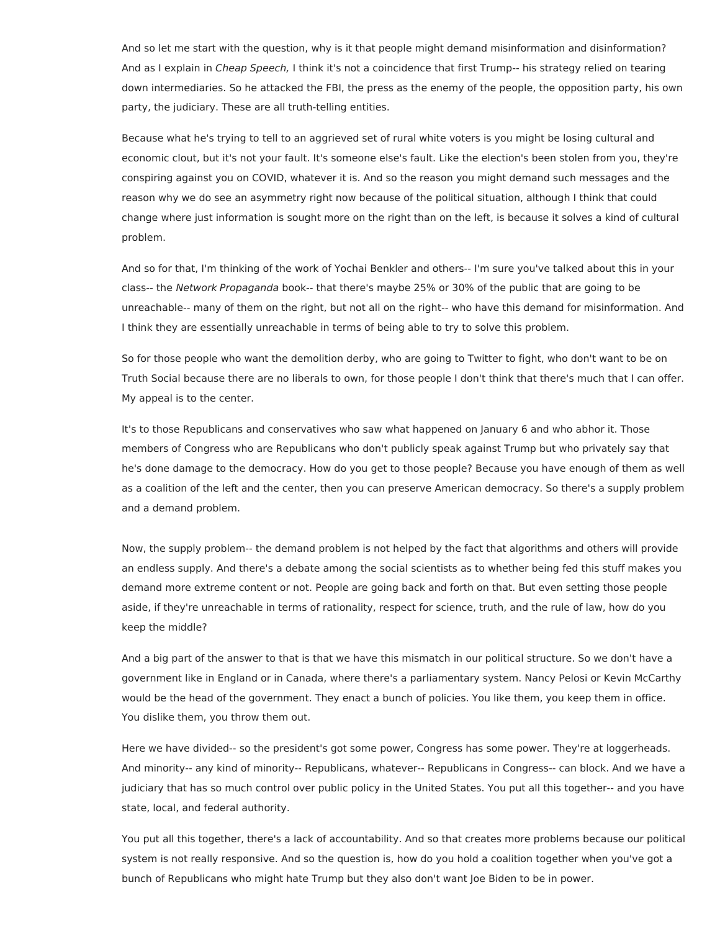And so let me start with the question, why is it that people might demand misinformation and disinformation? And as I explain in *Cheap Speech*, I think it's not a coincidence that first Trump-- his strategy relied on tearing down intermediaries. So he attacked the FBI, the press as the enemy of the people, the opposition party, his own party, the judiciary. These are all truth-telling entities.

Because what he's trying to tell to an aggrieved set of rural white voters is you might be losing cultural and economic clout, but it's not your fault. It's someone else's fault. Like the election's been stolen from you, they're conspiring against you on COVID, whatever it is. And so the reason you might demand such messages and the reason why we do see an asymmetry right now because of the political situation, although I think that could change where just information is sought more on the right than on the left, is because it solves a kind of cultural problem.

And so for that, I'm thinking of the work of Yochai Benkler and others-- I'm sure you've talked about this in your class-- the Network Propaganda book-- that there's maybe 25% or 30% of the public that are going to be unreachable-- many of them on the right, but not all on the right-- who have this demand for misinformation. And I think they are essentially unreachable in terms of being able to try to solve this problem.

So for those people who want the demolition derby, who are going to Twitter to fight, who don't want to be on Truth Social because there are no liberals to own, for those people I don't think that there's much that I can offer. My appeal is to the center.

It's to those Republicans and conservatives who saw what happened on January 6 and who abhor it. Those members of Congress who are Republicans who don't publicly speak against Trump but who privately say that he's done damage to the democracy. How do you get to those people? Because you have enough of them as well as a coalition of the left and the center, then you can preserve American democracy. So there's a supply problem and a demand problem.

Now, the supply problem-- the demand problem is not helped by the fact that algorithms and others will provide an endless supply. And there's a debate among the social scientists as to whether being fed this stuff makes you demand more extreme content or not. People are going back and forth on that. But even setting those people aside, if they're unreachable in terms of rationality, respect for science, truth, and the rule of law, how do you keep the middle?

And a big part of the answer to that is that we have this mismatch in our political structure. So we don't have a government like in England or in Canada, where there's a parliamentary system. Nancy Pelosi or Kevin McCarthy would be the head of the government. They enact a bunch of policies. You like them, you keep them in office. You dislike them, you throw them out.

Here we have divided-- so the president's got some power, Congress has some power. They're at loggerheads. And minority-- any kind of minority-- Republicans, whatever-- Republicans in Congress-- can block. And we have a judiciary that has so much control over public policy in the United States. You put all this together-- and you have state, local, and federal authority.

You put all this together, there's a lack of accountability. And so that creates more problems because our political system is not really responsive. And so the question is, how do you hold a coalition together when you've got a bunch of Republicans who might hate Trump but they also don't want Joe Biden to be in power.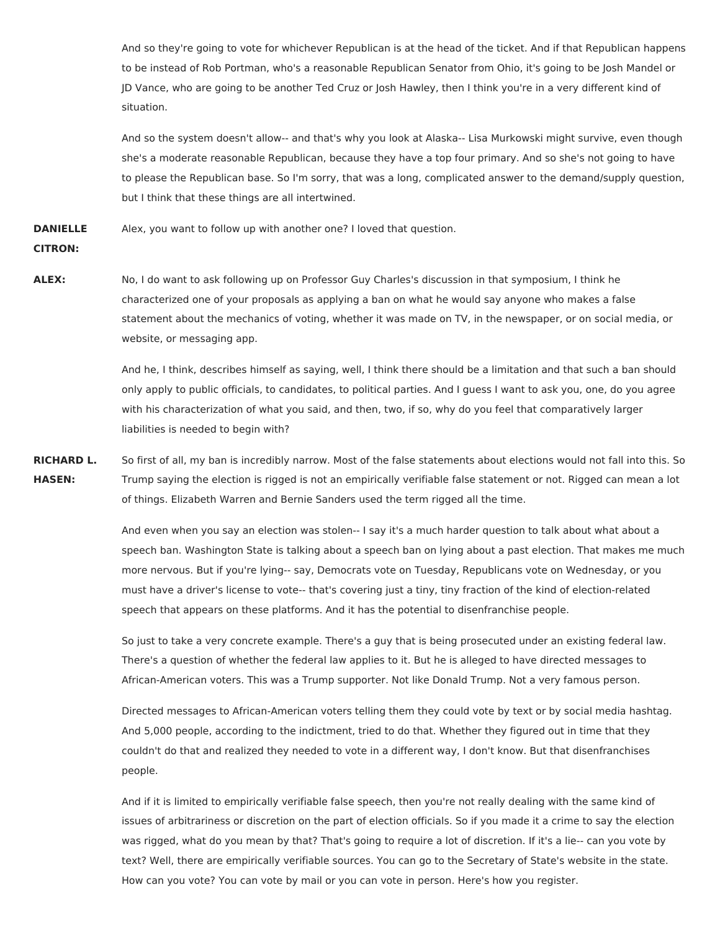And so they're going to vote for whichever Republican is at the head of the ticket. And if that Republican happens to be instead of Rob Portman, who's a reasonable Republican Senator from Ohio, it's going to be Josh Mandel or JD Vance, who are going to be another Ted Cruz or Josh Hawley, then I think you're in a very different kind of situation.

And so the system doesn't allow-- and that's why you look at Alaska-- Lisa Murkowski might survive, even though she's a moderate reasonable Republican, because they have a top four primary. And so she's not going to have to please the Republican base. So I'm sorry, that was a long, complicated answer to the demand/supply question, but I think that these things are all intertwined.

**DANIELLE** Alex, you want to follow up with another one? I loved that question.

## **CITRON:**

**ALEX:** No, I do want to ask following up on Professor Guy Charles's discussion in that symposium, I think he characterized one of your proposals as applying a ban on what he would say anyone who makes a false statement about the mechanics of voting, whether it was made on TV, in the newspaper, or on social media, or website, or messaging app.

> And he, I think, describes himself as saying, well, I think there should be a limitation and that such a ban should only apply to public officials, to candidates, to political parties. And I guess I want to ask you, one, do you agree with his characterization of what you said, and then, two, if so, why do you feel that comparatively larger liabilities is needed to begin with?

**RICHARD L. HASEN:** So first of all, my ban is incredibly narrow. Most of the false statements about elections would not fall into this. So Trump saying the election is rigged is not an empirically verifiable false statement or not. Rigged can mean a lot of things. Elizabeth Warren and Bernie Sanders used the term rigged all the time.

> And even when you say an election was stolen-- I say it's a much harder question to talk about what about a speech ban. Washington State is talking about a speech ban on lying about a past election. That makes me much more nervous. But if you're lying-- say, Democrats vote on Tuesday, Republicans vote on Wednesday, or you must have a driver's license to vote-- that's covering just a tiny, tiny fraction of the kind of election-related speech that appears on these platforms. And it has the potential to disenfranchise people.

So just to take a very concrete example. There's a guy that is being prosecuted under an existing federal law. There's a question of whether the federal law applies to it. But he is alleged to have directed messages to African-American voters. This was a Trump supporter. Not like Donald Trump. Not a very famous person.

Directed messages to African-American voters telling them they could vote by text or by social media hashtag. And 5,000 people, according to the indictment, tried to do that. Whether they figured out in time that they couldn't do that and realized they needed to vote in a different way, I don't know. But that disenfranchises people.

And if it is limited to empirically verifiable false speech, then you're not really dealing with the same kind of issues of arbitrariness or discretion on the part of election officials. So if you made it a crime to say the election was rigged, what do you mean by that? That's going to require a lot of discretion. If it's a lie-- can you vote by text? Well, there are empirically verifiable sources. You can go to the Secretary of State's website in the state. How can you vote? You can vote by mail or you can vote in person. Here's how you register.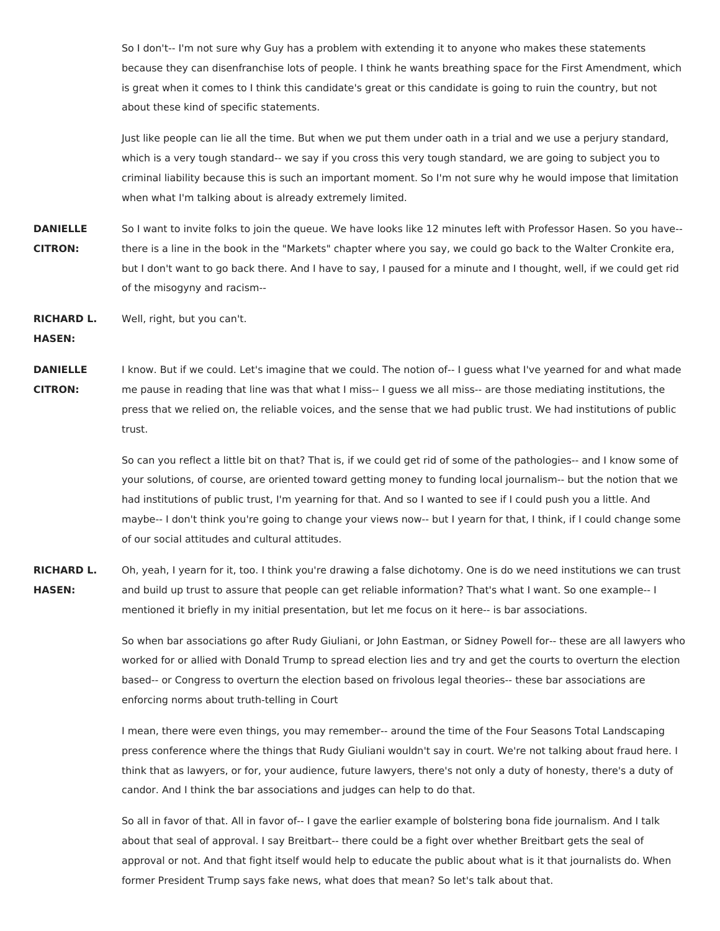So I don't-- I'm not sure why Guy has a problem with extending it to anyone who makes these statements because they can disenfranchise lots of people. I think he wants breathing space for the First Amendment, which is great when it comes to I think this candidate's great or this candidate is going to ruin the country, but not about these kind of specific statements.

Just like people can lie all the time. But when we put them under oath in a trial and we use a perjury standard, which is a very tough standard-- we say if you cross this very tough standard, we are going to subject you to criminal liability because this is such an important moment. So I'm not sure why he would impose that limitation when what I'm talking about is already extremely limited.

**DANIELLE CITRON:** So I want to invite folks to join the queue. We have looks like 12 minutes left with Professor Hasen. So you have- there is a line in the book in the "Markets" chapter where you say, we could go back to the Walter Cronkite era, but I don't want to go back there. And I have to say, I paused for a minute and I thought, well, if we could get rid of the misogyny and racism--

**RICHARD L.** Well, right, but you can't.

**HASEN:**

**DANIELLE CITRON:** I know. But if we could. Let's imagine that we could. The notion of-- I guess what I've yearned for and what made me pause in reading that line was that what I miss-- I guess we all miss-- are those mediating institutions, the press that we relied on, the reliable voices, and the sense that we had public trust. We had institutions of public trust.

> So can you reflect a little bit on that? That is, if we could get rid of some of the pathologies-- and I know some of your solutions, of course, are oriented toward getting money to funding local journalism-- but the notion that we had institutions of public trust, I'm yearning for that. And so I wanted to see if I could push you a little. And maybe-- I don't think you're going to change your views now-- but I yearn for that, I think, if I could change some of our social attitudes and cultural attitudes.

**RICHARD L. HASEN:** Oh, yeah, I yearn for it, too. I think you're drawing a false dichotomy. One is do we need institutions we can trust and build up trust to assure that people can get reliable information? That's what I want. So one example-- I mentioned it briefly in my initial presentation, but let me focus on it here-- is bar associations.

> So when bar associations go after Rudy Giuliani, or John Eastman, or Sidney Powell for-- these are all lawyers who worked for or allied with Donald Trump to spread election lies and try and get the courts to overturn the election based-- or Congress to overturn the election based on frivolous legal theories-- these bar associations are enforcing norms about truth-telling in Court

I mean, there were even things, you may remember-- around the time of the Four Seasons Total Landscaping press conference where the things that Rudy Giuliani wouldn't say in court. We're not talking about fraud here. I think that as lawyers, or for, your audience, future lawyers, there's not only a duty of honesty, there's a duty of candor. And I think the bar associations and judges can help to do that.

So all in favor of that. All in favor of-- I gave the earlier example of bolstering bona fide journalism. And I talk about that seal of approval. I say Breitbart-- there could be a fight over whether Breitbart gets the seal of approval or not. And that fight itself would help to educate the public about what is it that journalists do. When former President Trump says fake news, what does that mean? So let's talk about that.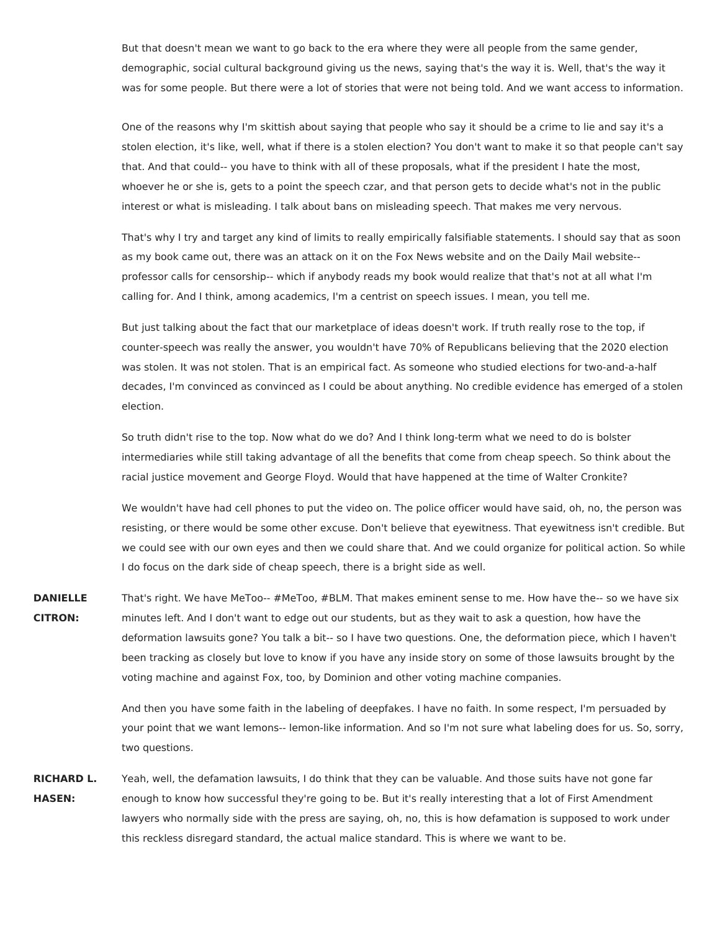But that doesn't mean we want to go back to the era where they were all people from the same gender, demographic, social cultural background giving us the news, saying that's the way it is. Well, that's the way it was for some people. But there were a lot of stories that were not being told. And we want access to information.

One of the reasons why I'm skittish about saying that people who say it should be a crime to lie and say it's a stolen election, it's like, well, what if there is a stolen election? You don't want to make it so that people can't say that. And that could-- you have to think with all of these proposals, what if the president I hate the most, whoever he or she is, gets to a point the speech czar, and that person gets to decide what's not in the public interest or what is misleading. I talk about bans on misleading speech. That makes me very nervous.

That's why I try and target any kind of limits to really empirically falsifiable statements. I should say that as soon as my book came out, there was an attack on it on the Fox News website and on the Daily Mail website- professor calls for censorship-- which if anybody reads my book would realize that that's not at all what I'm calling for. And I think, among academics, I'm a centrist on speech issues. I mean, you tell me.

But just talking about the fact that our marketplace of ideas doesn't work. If truth really rose to the top, if counter-speech was really the answer, you wouldn't have 70% of Republicans believing that the 2020 election was stolen. It was not stolen. That is an empirical fact. As someone who studied elections for two-and-a-half decades, I'm convinced as convinced as I could be about anything. No credible evidence has emerged of a stolen election.

So truth didn't rise to the top. Now what do we do? And I think long-term what we need to do is bolster intermediaries while still taking advantage of all the benefits that come from cheap speech. So think about the racial justice movement and George Floyd. Would that have happened at the time of Walter Cronkite?

We wouldn't have had cell phones to put the video on. The police officer would have said, oh, no, the person was resisting, or there would be some other excuse. Don't believe that eyewitness. That eyewitness isn't credible. But we could see with our own eyes and then we could share that. And we could organize for political action. So while I do focus on the dark side of cheap speech, there is a bright side as well.

**DANIELLE CITRON:** That's right. We have MeToo-- #MeToo, #BLM. That makes eminent sense to me. How have the-- so we have six minutes left. And I don't want to edge out our students, but as they wait to ask a question, how have the deformation lawsuits gone? You talk a bit-- so I have two questions. One, the deformation piece, which I haven't been tracking as closely but love to know if you have any inside story on some of those lawsuits brought by the voting machine and against Fox, too, by Dominion and other voting machine companies.

> And then you have some faith in the labeling of deepfakes. I have no faith. In some respect, I'm persuaded by your point that we want lemons-- lemon-like information. And so I'm not sure what labeling does for us. So, sorry, two questions.

**RICHARD L. HASEN:** Yeah, well, the defamation lawsuits, I do think that they can be valuable. And those suits have not gone far enough to know how successful they're going to be. But it's really interesting that a lot of First Amendment lawyers who normally side with the press are saying, oh, no, this is how defamation is supposed to work under this reckless disregard standard, the actual malice standard. This is where we want to be.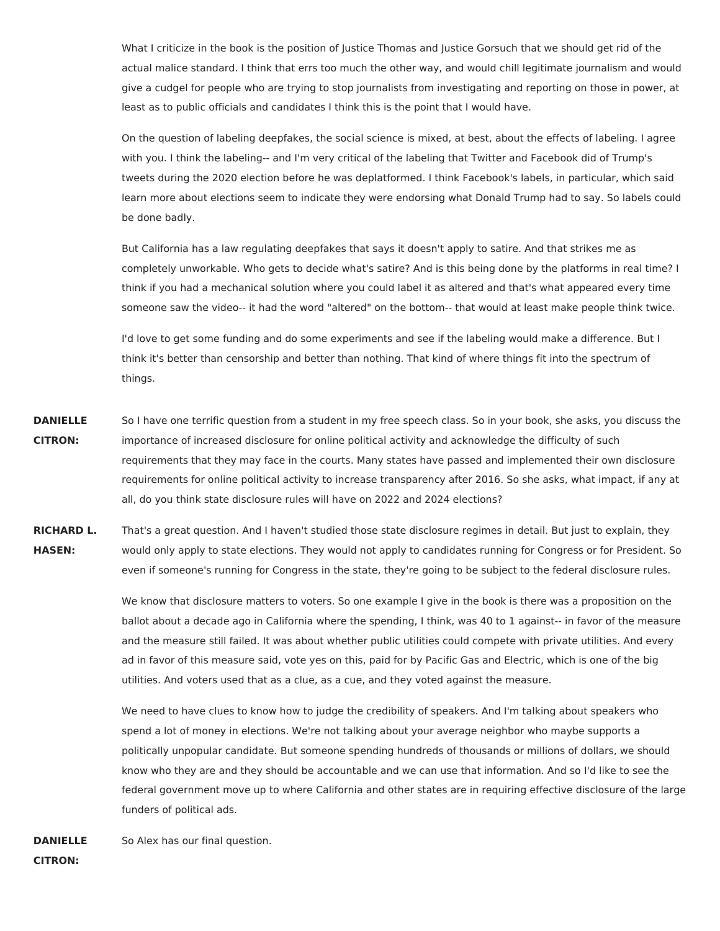What I criticize in the book is the position of Justice Thomas and Justice Gorsuch that we should get rid of the actual malice standard. I think that errs too much the other way, and would chill legitimate journalism and would give a cudgel for people who are trying to stop journalists from investigating and reporting on those in power, at least as to public officials and candidates I think this is the point that I would have.

On the question of labeling deepfakes, the social science is mixed, at best, about the effects of labeling. I agree with you. I think the labeling-- and I'm very critical of the labeling that Twitter and Facebook did of Trump's tweets during the 2020 election before he was deplatformed. I think Facebook's labels, in particular, which said learn more about elections seem to indicate they were endorsing what Donald Trump had to say. So labels could be done badly.

But California has a law regulating deepfakes that says it doesn't apply to satire. And that strikes me as completely unworkable. Who gets to decide what's satire? And is this being done by the platforms in real time? I think if you had a mechanical solution where you could label it as altered and that's what appeared every time someone saw the video-- it had the word "altered" on the bottom-- that would at least make people think twice.

I'd love to get some funding and do some experiments and see if the labeling would make a difference. But I think it's better than censorship and better than nothing. That kind of where things fit into the spectrum of things.

- **DANIELLE CITRON:** So I have one terrific question from a student in my free speech class. So in your book, she asks, you discuss the importance of increased disclosure for online political activity and acknowledge the difficulty of such requirements that they may face in the courts. Many states have passed and implemented their own disclosure requirements for online political activity to increase transparency after 2016. So she asks, what impact, if any at all, do you think state disclosure rules will have on 2022 and 2024 elections?
- **RICHARD L. HASEN:** That's a great question. And I haven't studied those state disclosure regimes in detail. But just to explain, they would only apply to state elections. They would not apply to candidates running for Congress or for President. So even if someone's running for Congress in the state, they're going to be subject to the federal disclosure rules.

We know that disclosure matters to voters. So one example I give in the book is there was a proposition on the ballot about a decade ago in California where the spending, I think, was 40 to 1 against-- in favor of the measure and the measure still failed. It was about whether public utilities could compete with private utilities. And every ad in favor of this measure said, vote yes on this, paid for by Pacific Gas and Electric, which is one of the big utilities. And voters used that as a clue, as a cue, and they voted against the measure.

We need to have clues to know how to judge the credibility of speakers. And I'm talking about speakers who spend a lot of money in elections. We're not talking about your average neighbor who maybe supports a politically unpopular candidate. But someone spending hundreds of thousands or millions of dollars, we should know who they are and they should be accountable and we can use that information. And so I'd like to see the federal government move up to where California and other states are in requiring effective disclosure of the large funders of political ads.

**DANIELLE CITRON:** So Alex has our final question.